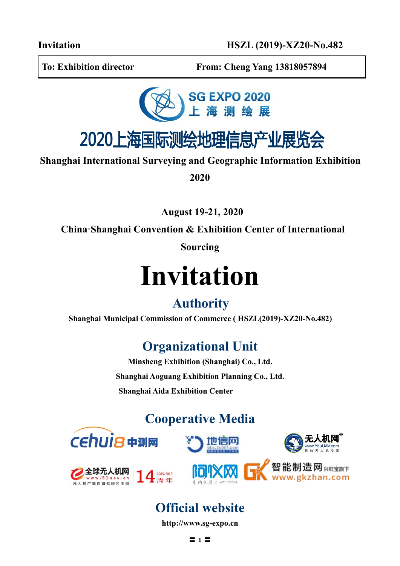**To: Exhibition director From: Cheng Yang 13818057894**



## 2020上海国际测绘地理信息产业展览会

**Shanghai International Surveying and Geographic Information Exhibition**

**2020**

**August 19-21, 2020**

**China·Shanghai** Convention & Exhibition Center of International

**Sourcing**

# **Invitation**

### **Authority**

**Shanghai Municipal Commission of Commerce ( HSZL(2019)-XZ20-No.482)**

## **Organizational Unit**

**Minsheng Exhibition (Shanghai) Co., Ltd. Shanghai Aoguang Exhibition Planning Co., Ltd. Shanghai Aida Exhibition Center**

## **Cooperative Media**













## **Official website**

**http://[www.sg-expo.cn](http://www.mh-expo.com)**

〓 **1** 〓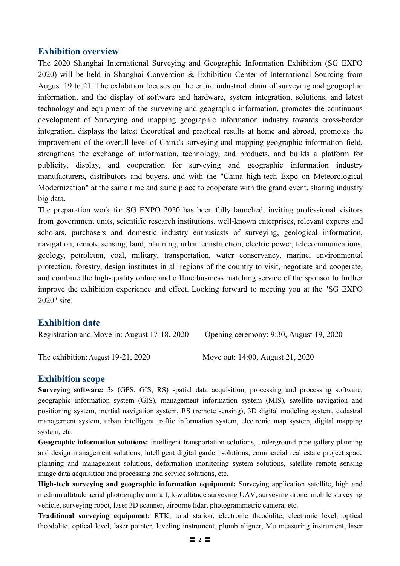#### **Exhibition overview**

The 2020 Shanghai International Surveying and Geographic Information Exhibition (SG EXPO 2020) will be held in Shanghai Convention & Exhibition Center of International Sourcing from August 19 to 21. The exhibition focuses on the entire industrial chain of surveying and geographic information, and the display of software and hardware, system integration, solutions, and latest technology and equipment of the surveying and geographic information, promotes the continuous development of Surveying and mapping geographic information industry towards cross-border integration, displays the latest theoretical and practical results at home and abroad, promotes the improvement of the overall level of China's surveying and mapping geographic information field, strengthens the exchange of information, technology, and products, and builds a platform for publicity, display, and cooperation for surveying and geographic information industry manufacturers, distributors and buyers, and with the "China high-tech Expo on Meteorological Modernization" at the same time and same place to cooperate with the grand event, sharing industry big data.

The preparation work for SG EXPO 2020 has been fully launched, inviting professional visitors from government units, scientific research institutions, well-known enterprises, relevant experts and scholars, purchasers and domestic industry enthusiasts of surveying, geological information, navigation, remote sensing, land, planning, urban construction, electric power, telecommunications, geology, petroleum, coal, military, transportation, water conservancy, marine, environmental protection, forestry, design institutes in all regions of the country to visit, negotiate and cooperate, and combine the high-quality online and offline business matching service of the sponsor to further improve the exhibition experience and effect. Looking forward to meeting you at the "SG EXPO 2020" site!

#### **Exhibition date**

| Registration and Move in: August 17-18, 2020 | Opening ceremony: 9:30, August 19, 2020 |
|----------------------------------------------|-----------------------------------------|
| The exhibition: August $19-21$ , $2020$      | Move out: 14:00, August 21, 2020        |

#### **Exhibition scope**

**Surveying software:** 3s (GPS, GIS, RS) spatial data acquisition, processing and processing software, geographic information system (GIS), management information system (MIS), satellite navigation and positioning system, inertial navigation system, RS (remote sensing), 3D digital modeling system, cadastral management system, urban intelligent traffic information system, electronic map system, digital mapping system, etc.

**Geographic information solutions:** Intelligent transportation solutions, underground pipe gallery planning and design management solutions, intelligent digital garden solutions, commercial real estate project space planning and management solutions, deformation monitoring system solutions, satellite remote sensing image data acquisition and processing and service solutions, etc.

**High-tech surveying and geographic information equipment:** Surveying application satellite, high and medium altitude aerial photography aircraft, low altitude surveying UAV, surveying drone, mobile surveying vehicle, surveying robot, laser 3D scanner, airborne lidar, photogrammetric camera, etc.

**Traditional surveying equipment:** RTK, total station, electronic theodolite, electronic level, optical theodolite, optical level, laser pointer, leveling instrument, plumb aligner, Mu measuring instrument, laser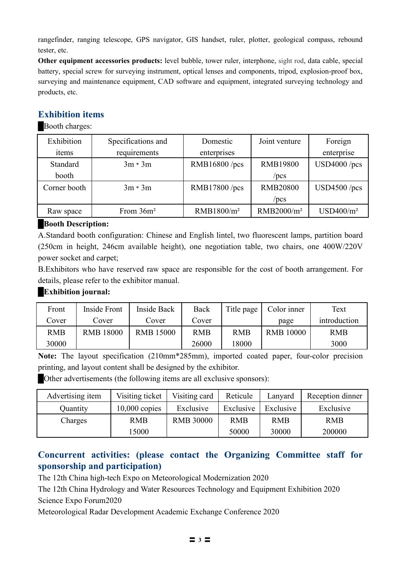rangefinder, ranging telescope, GPS navigator, GIS handset, ruler, plotter, geological compass, rebound tester, etc.

**Other equipment accessories products:** level bubble, tower ruler, interphone, sight rod, data cable, special battery, special screw for surveying instrument, optical lenses and components, tripod, explosion-proof box, surveying and maintenance equipment, CAD software and equipment, integrated surveying technology and products, etc.

#### **Exhibition items**

**Booth charges:** 

| Exhibition   | Specifications and | Domestic               | Joint venture          | Foreign               |
|--------------|--------------------|------------------------|------------------------|-----------------------|
| items        | requirements       | enterprises            |                        | enterprise            |
| Standard     | $3m * 3m$          | RMB16800/pcs           | <b>RMB19800</b>        | $USD4000$ /pcs        |
| booth        |                    |                        | $/$ pcs                |                       |
| Corner booth | $3m * 3m$          | RMB17800/pcs           | <b>RMB20800</b>        | $USD4500$ /pcs        |
|              |                    |                        | $/$ pcs                |                       |
| Raw space    | From $36m^2$       | RMB1800/m <sup>2</sup> | RMB2000/m <sup>2</sup> | USD400/m <sup>2</sup> |

#### █**Booth Description:**

A.Standard booth configuration: Chinese and English lintel, two fluorescent lamps, partition board (250cm in height, 246cm available height), one negotiation table, two chairs, one 400W/220V power socket and carpet;

B.Exhibitors who have reserved raw space are responsible for the cost of booth arrangement. For details, please refer to the exhibitor manual.

#### **█Exhibition journal:**

| Front      | Inside Front     | Inside Back      | Back       | Title page | Color inner      | Text         |
|------------|------------------|------------------|------------|------------|------------------|--------------|
| Cover      | Cover            | Cover            | Cover      |            | page             | introduction |
| <b>RMB</b> | <b>RMB 18000</b> | <b>RMB 15000</b> | <b>RMB</b> | <b>RMB</b> | <b>RMB 10000</b> | <b>RMB</b>   |
| 30000      |                  |                  | 26000      | 8000       |                  | 3000         |

**Note:** The layout specification (210mm\*285mm), imported coated paper, four-color precision printing, and layout content shall be designed by the exhibitor.

█Other advertisements (the following items are all exclusive sponsors):

| Advertising item | Visiting ticket | Visiting card    | Reticule   | Lanvard    | Reception dinner |
|------------------|-----------------|------------------|------------|------------|------------------|
| <b>Quantity</b>  | $10,000$ copies | Exclusive        | Exclusive  | Exclusive  | Exclusive        |
| Charges          | <b>RMB</b>      | <b>RMB 30000</b> | <b>RMB</b> | <b>RMB</b> | <b>RMB</b>       |
|                  | 5000            |                  | 50000      | 30000      | 200000           |

#### **Concurrent activities: (please contact the Organizing Committee staff for sponsorship and participation)**

The 12th China high-tech Expo on Meteorological Modernization 2020

The 12th China Hydrology and Water Resources Technology and Equipment Exhibition 2020 Science Expo Forum2020

Meteorological Radar Development Academic Exchange Conference 2020

〓 **3** 〓